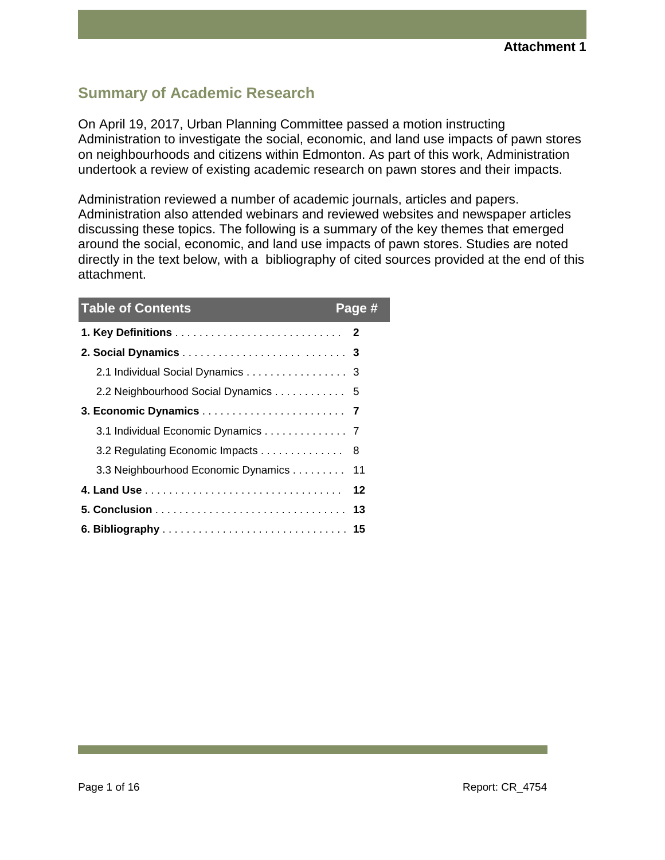### **Summary of Academic Research**

On April 19, 2017, Urban Planning Committee passed a motion instructing Administration to investigate the social, economic, and land use impacts of pawn stores on neighbourhoods and citizens within Edmonton. As part of this work, Administration undertook a review of existing academic research on pawn stores and their impacts.

Administration reviewed a number of academic journals, articles and papers. Administration also attended webinars and reviewed websites and newspaper articles discussing these topics. The following is a summary of the key themes that emerged around the social, economic, and land use impacts of pawn stores. Studies are noted directly in the text below, with a bibliography of cited sources provided at the end of this attachment.

| <b>Table of Contents</b>               | <u>Page</u> # |
|----------------------------------------|---------------|
|                                        |               |
|                                        |               |
| 2.1 Individual Social Dynamics 3       |               |
| 2.2 Neighbourhood Social Dynamics 5    |               |
|                                        |               |
| 3.1 Individual Economic Dynamics 7     |               |
| 3.2 Regulating Economic Impacts 8      |               |
| 3.3 Neighbourhood Economic Dynamics 11 |               |
|                                        | 12            |
|                                        |               |
|                                        |               |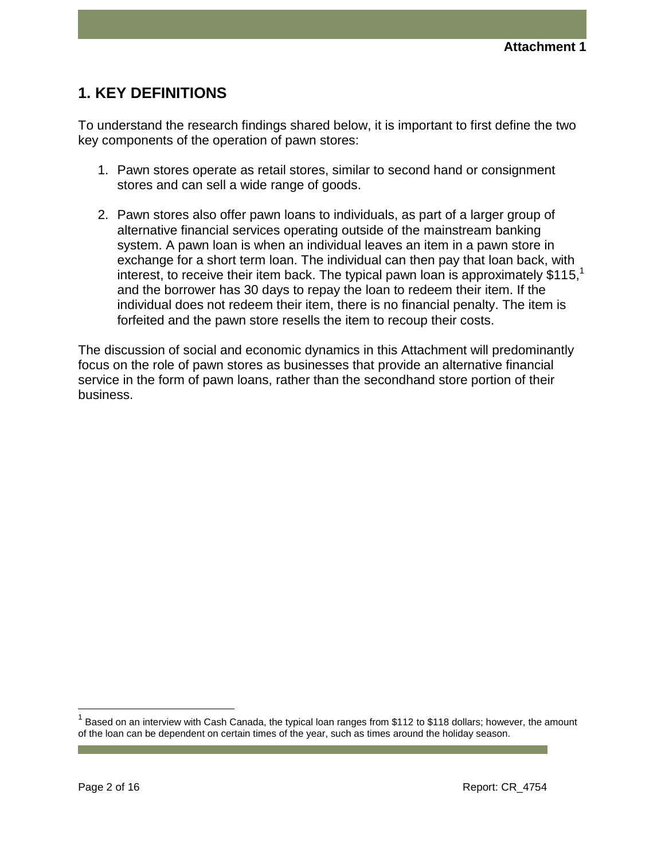### **1. KEY DEFINITIONS**

To understand the research findings shared below, it is important to first define the two key components of the operation of pawn stores:

- 1. Pawn stores operate as retail stores, similar to second hand or consignment stores and can sell a wide range of goods.
- 2. Pawn stores also offer pawn loans to individuals, as part of a larger group of alternative financial services operating outside of the mainstream banking system. A pawn loan is when an individual leaves an item in a pawn store in exchange for a short term loan. The individual can then pay that loan back, with interest, to receive their item back. The typical pawn loan is approximately  $$115<sup>1</sup>$ and the borrower has 30 days to repay the loan to redeem their item. If the individual does not redeem their item, there is no financial penalty. The item is forfeited and the pawn store resells the item to recoup their costs.

The discussion of social and economic dynamics in this Attachment will predominantly focus on the role of pawn stores as businesses that provide an alternative financial service in the form of pawn loans, rather than the secondhand store portion of their business.

<sup>1</sup> Based on an interview with Cash Canada, the typical loan ranges from \$112 to \$118 dollars; however, the amount of the loan can be dependent on certain times of the year, such as times around the holiday season.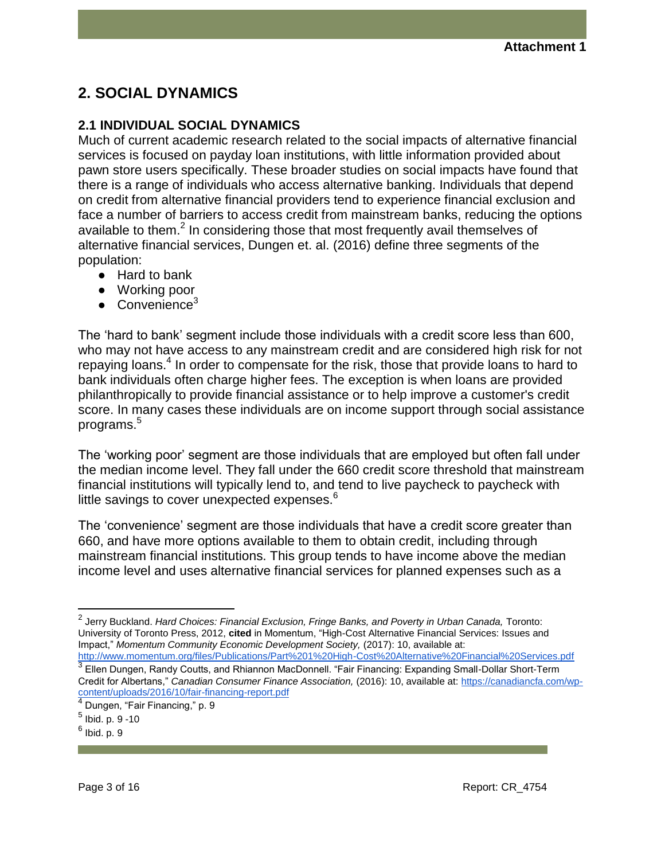# **2. SOCIAL DYNAMICS**

### **2.1 INDIVIDUAL SOCIAL DYNAMICS**

Much of current academic research related to the social impacts of alternative financial services is focused on payday loan institutions, with little information provided about pawn store users specifically. These broader studies on social impacts have found that there is a range of individuals who access alternative banking. Individuals that depend on credit from alternative financial providers tend to experience financial exclusion and face a number of barriers to access credit from mainstream banks, reducing the options available to them. $<sup>2</sup>$  In considering those that most frequently avail themselves of</sup> alternative financial services, Dungen et. al. (2016) define three segments of the population:

- Hard to bank
- Working poor
- $\bullet$  Convenience<sup>3</sup>

The 'hard to bank' segment include those individuals with a credit score less than 600, who may not have access to any mainstream credit and are considered high risk for not repaying loans.<sup>4</sup> In order to compensate for the risk, those that provide loans to hard to bank individuals often charge higher fees. The exception is when loans are provided philanthropically to provide financial assistance or to help improve a customer's credit score. In many cases these individuals are on income support through social assistance programs.<sup>5</sup>

The 'working poor' segment are those individuals that are employed but often fall under the median income level. They fall under the 660 credit score threshold that mainstream financial institutions will typically lend to, and tend to live paycheck to paycheck with little savings to cover unexpected expenses.<sup>6</sup>

The 'convenience' segment are those individuals that have a credit score greater than 660, and have more options available to them to obtain credit, including through mainstream financial institutions. This group tends to have income above the median income level and uses alternative financial services for planned expenses such as a

<sup>2</sup> Jerry Buckland. *Hard Choices: Financial Exclusion, Fringe Banks, and Poverty in Urban Canada,* Toronto: University of Toronto Press, 2012, **cited** in Momentum, "High-Cost Alternative Financial Services: Issues and Impact," *Momentum Community Economic Development Society,* (2017): 10, available at: <http://www.momentum.org/files/Publications/Part%201%20High-Cost%20Alternative%20Financial%20Services.pdf>

<sup>&</sup>lt;sup>3</sup> Ellen Dungen, Randy Coutts, and Rhiannon MacDonnell. "Fair Financing: Expanding Small-Dollar Short-Term Credit for Albertans," *Canadian Consumer Finance Association,* (2016): 10, available at[: https://canadiancfa.com/wp](https://canadiancfa.com/wp-content/uploads/2016/10/fair-financing-report.pdf)[content/uploads/2016/10/fair-financing-report.pdf](https://canadiancfa.com/wp-content/uploads/2016/10/fair-financing-report.pdf) 4

Dungen, "Fair Financing," p. 9

<sup>&</sup>lt;sup>5</sup> Ibid. p. 9 -10

 $^6$  lbid. p. 9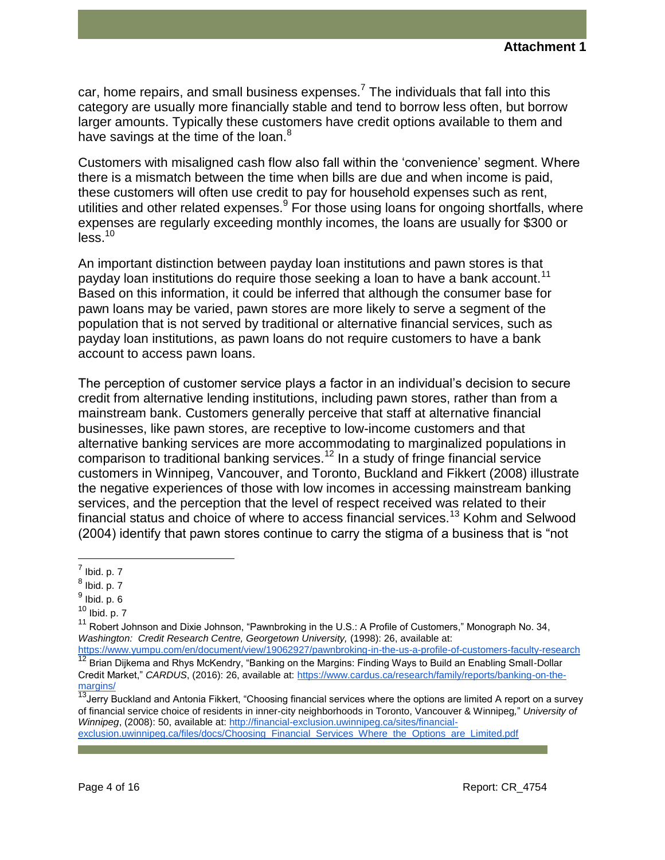car, home repairs, and small business expenses.<sup>7</sup> The individuals that fall into this category are usually more financially stable and tend to borrow less often, but borrow larger amounts. Typically these customers have credit options available to them and have savings at the time of the loan.<sup>8</sup>

Customers with misaligned cash flow also fall within the 'convenience' segment. Where there is a mismatch between the time when bills are due and when income is paid, these customers will often use credit to pay for household expenses such as rent, utilities and other related expenses.<sup>9</sup> For those using loans for ongoing shortfalls, where expenses are regularly exceeding monthly incomes, the loans are usually for \$300 or  $less<sup>10</sup>$ 

An important distinction between payday loan institutions and pawn stores is that payday loan institutions do require those seeking a loan to have a bank account.<sup>11</sup> Based on this information, it could be inferred that although the consumer base for pawn loans may be varied, pawn stores are more likely to serve a segment of the population that is not served by traditional or alternative financial services, such as payday loan institutions, as pawn loans do not require customers to have a bank account to access pawn loans.

The perception of customer service plays a factor in an individual's decision to secure credit from alternative lending institutions, including pawn stores, rather than from a mainstream bank. Customers generally perceive that staff at alternative financial businesses, like pawn stores, are receptive to low-income customers and that alternative banking services are more accommodating to marginalized populations in comparison to traditional banking services.<sup>12</sup> In a study of fringe financial service customers in Winnipeg, Vancouver, and Toronto, Buckland and Fikkert (2008) illustrate the negative experiences of those with low incomes in accessing mainstream banking services, and the perception that the level of respect received was related to their financial status and choice of where to access financial services.<sup>13</sup> Kohm and Selwood (2004) identify that pawn stores continue to carry the stigma of a business that is "not

[exclusion.uwinnipeg.ca/files/docs/Choosing\\_Financial\\_Services\\_Where\\_the\\_Options\\_are\\_Limited.pdf](http://financial-exclusion.uwinnipeg.ca/sites/financial-exclusion.uwinnipeg.ca/files/docs/Choosing_Financial_Services_Where_the_Options_are_Limited.pdf)

 $<sup>7</sup>$  Ibid. p. 7</sup>

 $^8$  lbid. p. 7

 $^9$  lbid. p. 6

 $10$  Ibid. p.  $7$ 

<sup>&</sup>lt;sup>11</sup> Robert Johnson and Dixie Johnson, "Pawnbroking in the U.S.: A Profile of Customers," Monograph No. 34, *Washington: Credit Research Centre, Georgetown University, (1998): 26, available at:* 

<https://www.yumpu.com/en/document/view/19062927/pawnbroking-in-the-us-a-profile-of-customers-faculty-research>

<sup>&</sup>lt;sup>12</sup> Brian Dijkema and Rhys McKendry, "Banking on the Margins: Finding Ways to Build an Enabling Small-Dollar Credit Market," *CARDUS*, (2016): 26, available at[: https://www.cardus.ca/research/family/reports/banking-on-the](https://www.cardus.ca/research/family/reports/banking-on-the-margins/)[margins/](https://www.cardus.ca/research/family/reports/banking-on-the-margins/)

 $^{13}$ Jerry Buckland and Antonia Fikkert, "Choosing financial services where the options are limited A report on a survey of financial service choice of residents in inner-city neighborhoods in Toronto, Vancouver & Winnipeg*,*" *University of Winnipeg*, (2008): 50, available at: [http://financial-exclusion.uwinnipeg.ca/sites/financial-](http://financial-exclusion.uwinnipeg.ca/sites/financial-exclusion.uwinnipeg.ca/files/docs/Choosing_Financial_Services_Where_the_Options_are_Limited.pdf)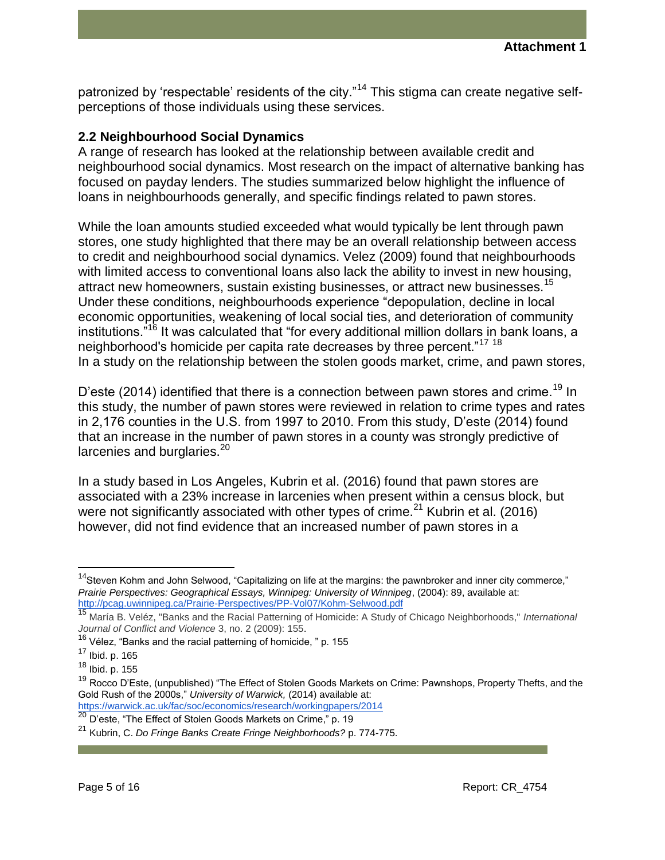patronized by 'respectable' residents of the city."<sup>14</sup> This stigma can create negative selfperceptions of those individuals using these services.

#### **2.2 Neighbourhood Social Dynamics**

A range of research has looked at the relationship between available credit and neighbourhood social dynamics. Most research on the impact of alternative banking has focused on payday lenders. The studies summarized below highlight the influence of loans in neighbourhoods generally, and specific findings related to pawn stores.

While the loan amounts studied exceeded what would typically be lent through pawn stores, one study highlighted that there may be an overall relationship between access to credit and neighbourhood social dynamics. Velez (2009) found that neighbourhoods with limited access to conventional loans also lack the ability to invest in new housing, attract new homeowners, sustain existing businesses, or attract new businesses.<sup>15</sup> Under these conditions, neighbourhoods experience "depopulation, decline in local economic opportunities, weakening of local social ties, and deterioration of community institutions."<sup>16</sup> It was calculated that "for every additional million dollars in bank loans, a neighborhood's homicide per capita rate decreases by three percent."<sup>17</sup> <sup>18</sup> In a study on the relationship between the stolen goods market, crime, and pawn stores,

D'este (2014) identified that there is a connection between pawn stores and crime.<sup>19</sup> In this study, the number of pawn stores were reviewed in relation to crime types and rates in 2,176 counties in the U.S. from 1997 to 2010. From this study, D'este (2014) found that an increase in the number of pawn stores in a county was strongly predictive of larcenies and burglaries.<sup>20</sup>

In a study based in Los Angeles, Kubrin et al. (2016) found that pawn stores are associated with a 23% increase in larcenies when present within a census block, but were not significantly associated with other types of crime.<sup>21</sup> Kubrin et al. (2016) however, did not find evidence that an increased number of pawn stores in a

<sup>&</sup>lt;sup>14</sup>Steven Kohm and John Selwood, "Capitalizing on life at the margins: the pawnbroker and inner city commerce," *Prairie Perspectives: Geographical Essays, Winnipeg: University of Winnipeg*, (2004): 89, available at: <http://pcag.uwinnipeg.ca/Prairie-Perspectives/PP-Vol07/Kohm-Selwood.pdf><br>15 Marie Public "P

<sup>15</sup> María B. Veléz, "Banks and the Racial Patterning of Homicide: A Study of Chicago Neighborhoods," *International Journal of Conflict and Violence* 3, no. 2 (2009): 155.

 $16$  Vélez, "Banks and the racial patterning of homicide, " p. 155

<sup>17</sup> Ibid. p. 165

<sup>18</sup> Ibid. p. 155

<sup>&</sup>lt;sup>19</sup> Rocco D'Este, (unpublished) "The Effect of Stolen Goods Markets on Crime: Pawnshops, Property Thefts, and the Gold Rush of the 2000s," *University of Warwick,* (2014) available at: <https://warwick.ac.uk/fac/soc/economics/research/workingpapers/2014>

<sup>&</sup>lt;sup>20</sup> D'este, "The Effect of Stolen Goods Markets on Crime," p. 19

<sup>21</sup> Kubrin, C. *Do Fringe Banks Create Fringe Neighborhoods?* p. 774-775.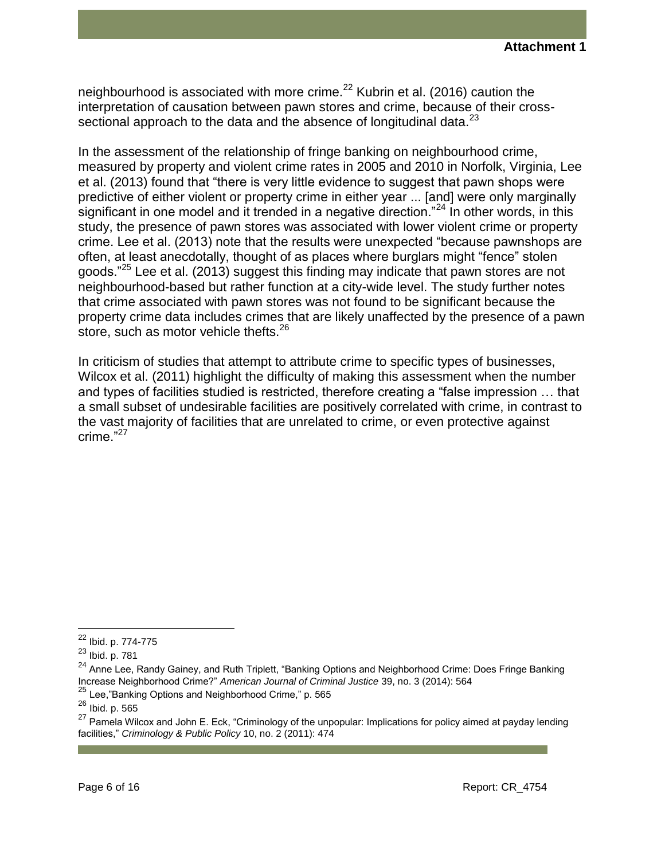neighbourhood is associated with more crime.<sup>22</sup> Kubrin et al. (2016) caution the interpretation of causation between pawn stores and crime, because of their crosssectional approach to the data and the absence of longitudinal data. $^{23}$ 

In the assessment of the relationship of fringe banking on neighbourhood crime, measured by property and violent crime rates in 2005 and 2010 in Norfolk, Virginia, Lee et al. (2013) found that "there is very little evidence to suggest that pawn shops were predictive of either violent or property crime in either year ... [and] were only marginally significant in one model and it trended in a negative direction."<sup>24</sup> In other words, in this study, the presence of pawn stores was associated with lower violent crime or property crime. Lee et al. (2013) note that the results were unexpected "because pawnshops are often, at least anecdotally, thought of as places where burglars might "fence" stolen goods."<sup>25</sup> Lee et al. (2013) suggest this finding may indicate that pawn stores are not neighbourhood-based but rather function at a city-wide level. The study further notes that crime associated with pawn stores was not found to be significant because the property crime data includes crimes that are likely unaffected by the presence of a pawn store, such as motor vehicle thefts.<sup>26</sup>

In criticism of studies that attempt to attribute crime to specific types of businesses, Wilcox et al. (2011) highlight the difficulty of making this assessment when the number and types of facilities studied is restricted, therefore creating a "false impression … that a small subset of undesirable facilities are positively correlated with crime, in contrast to the vast majority of facilities that are unrelated to crime, or even protective against crime."<sup>27</sup>

<sup>25</sup> Lee,"Banking Options and Neighborhood Crime," p. 565

<sup>22</sup> Ibid. p. 774-775

<sup>23</sup> Ibid. p. 781

<sup>&</sup>lt;sup>24</sup> Anne Lee, Randy Gainey, and Ruth Triplett, "Banking Options and Neighborhood Crime: Does Fringe Banking Increase Neighborhood Crime?" *American Journal of Criminal Justice* 39, no. 3 (2014): 564

<sup>26</sup> Ibid. p. 565

<sup>&</sup>lt;sup>27</sup> Pamela Wilcox and John E. Eck, "Criminology of the unpopular: Implications for policy aimed at payday lending facilities," *Criminology & Public Policy* 10, no. 2 (2011): 474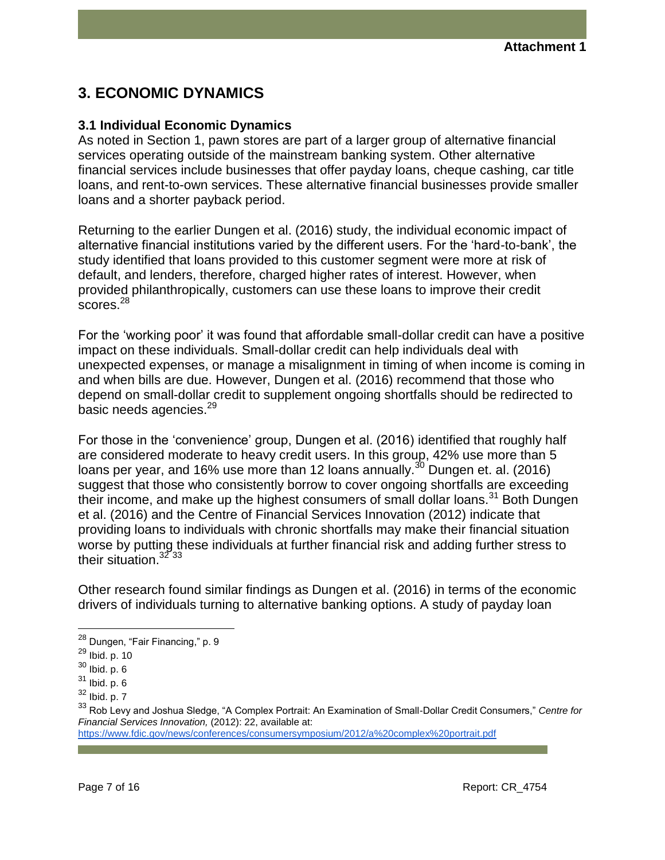# **3. ECONOMIC DYNAMICS**

#### **3.1 Individual Economic Dynamics**

As noted in Section 1, pawn stores are part of a larger group of alternative financial services operating outside of the mainstream banking system. Other alternative financial services include businesses that offer payday loans, cheque cashing, car title loans, and rent-to-own services. These alternative financial businesses provide smaller loans and a shorter payback period.

Returning to the earlier Dungen et al. (2016) study, the individual economic impact of alternative financial institutions varied by the different users. For the 'hard-to-bank', the study identified that loans provided to this customer segment were more at risk of default, and lenders, therefore, charged higher rates of interest. However, when provided philanthropically, customers can use these loans to improve their credit scores.<sup>28</sup>

For the 'working poor' it was found that affordable small-dollar credit can have a positive impact on these individuals. Small-dollar credit can help individuals deal with unexpected expenses, or manage a misalignment in timing of when income is coming in and when bills are due. However, Dungen et al. (2016) recommend that those who depend on small-dollar credit to supplement ongoing shortfalls should be redirected to basic needs agencies.<sup>29</sup>

For those in the 'convenience' group, Dungen et al. (2016) identified that roughly half are considered moderate to heavy credit users. In this group, 42% use more than 5 loans per year, and 16% use more than 12 loans annually.<sup>30</sup> Dungen et. al. (2016) suggest that those who consistently borrow to cover ongoing shortfalls are exceeding their income, and make up the highest consumers of small dollar loans.<sup>31</sup> Both Dungen et al. (2016) and the Centre of Financial Services Innovation (2012) indicate that providing loans to individuals with chronic shortfalls may make their financial situation worse by putting these individuals at further financial risk and adding further stress to their situation.  $32^{33}$ 

Other research found similar findings as Dungen et al. (2016) in terms of the economic drivers of individuals turning to alternative banking options. A study of payday loan

<https://www.fdic.gov/news/conferences/consumersymposium/2012/a%20complex%20portrait.pdf>

<sup>&</sup>lt;sup>28</sup> Dungen, "Fair Financing," p. 9

<sup>29</sup> Ibid. p. 10

 $30$  Ibid. p. 6

 $31$  Ibid. p. 6

 $32$  Ibid. p. 7

<sup>33</sup> Rob Levy and Joshua Sledge, "A Complex Portrait: An Examination of Small-Dollar Credit Consumers," *Centre for Financial Services Innovation,* (2012): 22, available at: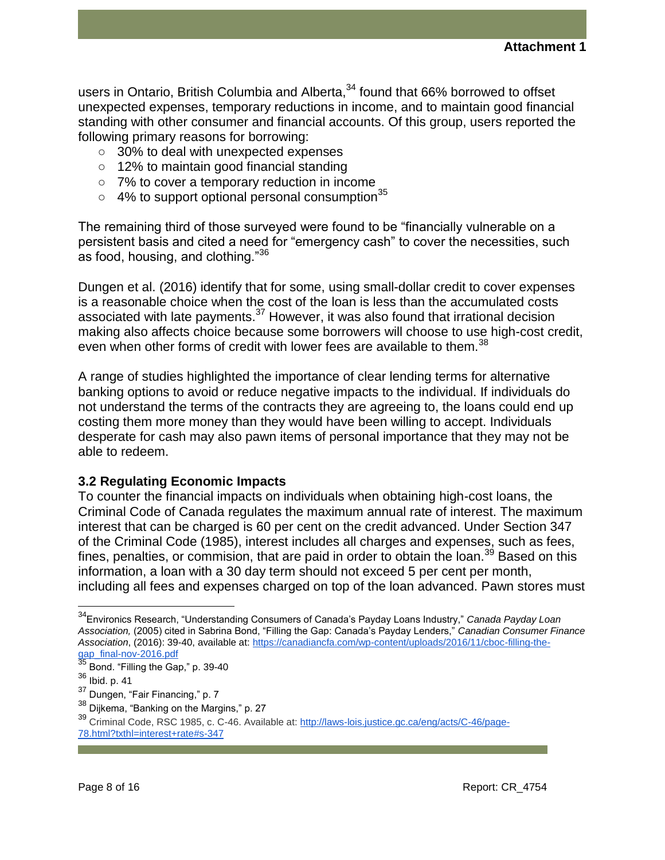users in Ontario, British Columbia and Alberta,  $34$  found that 66% borrowed to offset unexpected expenses, temporary reductions in income, and to maintain good financial standing with other consumer and financial accounts. Of this group, users reported the following primary reasons for borrowing:

- 30% to deal with unexpected expenses
- 12% to maintain good financial standing
- 7% to cover a temporary reduction in income
- 4% to support optional personal consumption<sup>35</sup>

The remaining third of those surveyed were found to be "financially vulnerable on a persistent basis and cited a need for "emergency cash" to cover the necessities, such as food, housing, and clothing."<sup>36</sup>

Dungen et al. (2016) identify that for some, using small-dollar credit to cover expenses is a reasonable choice when the cost of the loan is less than the accumulated costs associated with late payments.<sup>37</sup> However, it was also found that irrational decision making also affects choice because some borrowers will choose to use high-cost credit, even when other forms of credit with lower fees are available to them.<sup>38</sup>

A range of studies highlighted the importance of clear lending terms for alternative banking options to avoid or reduce negative impacts to the individual. If individuals do not understand the terms of the contracts they are agreeing to, the loans could end up costing them more money than they would have been willing to accept. Individuals desperate for cash may also pawn items of personal importance that they may not be able to redeem.

#### **3.2 Regulating Economic Impacts**

To counter the financial impacts on individuals when obtaining high-cost loans, the Criminal Code of Canada regulates the maximum annual rate of interest. The maximum interest that can be charged is 60 per cent on the credit advanced. Under Section 347 of the Criminal Code (1985), interest includes all charges and expenses, such as fees, fines, penalties, or commision, that are paid in order to obtain the loan. $^{39}$  Based on this information, a loan with a 30 day term should not exceed 5 per cent per month, including all fees and expenses charged on top of the loan advanced. Pawn stores must

<sup>34</sup>Environics Research, "Understanding Consumers of Canada's Payday Loans Industry," *Canada Payday Loan Association,* (2005) cited in Sabrina Bond, "Filling the Gap: Canada's Payday Lenders," *Canadian Consumer Finance Association*, (2016): 39-40, available at[: https://canadiancfa.com/wp-content/uploads/2016/11/cboc-filling-the](https://canadiancfa.com/wp-content/uploads/2016/11/cboc-filling-the-gap_final-nov-2016.pdf)[gap\\_final-nov-2016.pdf](https://canadiancfa.com/wp-content/uploads/2016/11/cboc-filling-the-gap_final-nov-2016.pdf)<br> $\frac{\text{gap}}{35}$ 

<sup>35</sup> Bond. "Filling the Gap," p. 39-40

<sup>36</sup> Ibid. p. 41

<sup>37</sup> Dungen, "Fair Financing," p. 7

<sup>38</sup> Dijkema, "Banking on the Margins," p. 27

<sup>&</sup>lt;sup>39</sup> Criminal Code, RSC 1985, c. C-46. Available at: [http://laws-lois.justice.gc.ca/eng/acts/C-46/page-](http://laws-lois.justice.gc.ca/eng/acts/C-46/page-78.html?txthl=interest+rate#s-347)

[<sup>78.</sup>html?txthl=interest+rate#s-347](http://laws-lois.justice.gc.ca/eng/acts/C-46/page-78.html?txthl=interest+rate#s-347)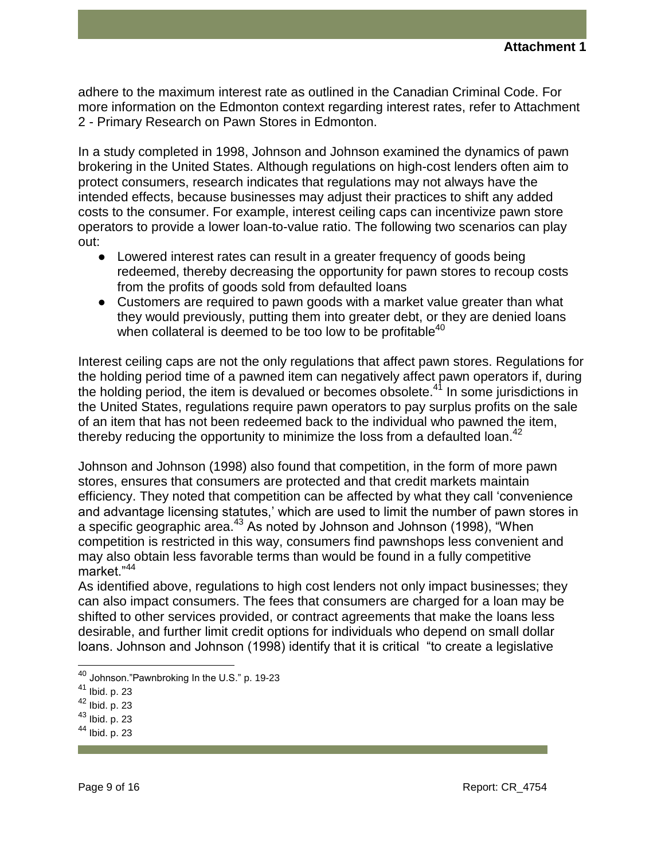adhere to the maximum interest rate as outlined in the Canadian Criminal Code. For more information on the Edmonton context regarding interest rates, refer to Attachment 2 - Primary Research on Pawn Stores in Edmonton.

In a study completed in 1998, Johnson and Johnson examined the dynamics of pawn brokering in the United States. Although regulations on high-cost lenders often aim to protect consumers, research indicates that regulations may not always have the intended effects, because businesses may adjust their practices to shift any added costs to the consumer. For example, interest ceiling caps can incentivize pawn store operators to provide a lower loan-to-value ratio. The following two scenarios can play out:

- Lowered interest rates can result in a greater frequency of goods being redeemed, thereby decreasing the opportunity for pawn stores to recoup costs from the profits of goods sold from defaulted loans
- Customers are required to pawn goods with a market value greater than what they would previously, putting them into greater debt, or they are denied loans when collateral is deemed to be too low to be profitable<sup>40</sup>

Interest ceiling caps are not the only regulations that affect pawn stores. Regulations for the holding period time of a pawned item can negatively affect pawn operators if, during the holding period, the item is devalued or becomes obsolete.<sup>41</sup> In some jurisdictions in the United States, regulations require pawn operators to pay surplus profits on the sale of an item that has not been redeemed back to the individual who pawned the item, thereby reducing the opportunity to minimize the loss from a defaulted loan. $^{42}$ 

Johnson and Johnson (1998) also found that competition, in the form of more pawn stores, ensures that consumers are protected and that credit markets maintain efficiency. They noted that competition can be affected by what they call 'convenience and advantage licensing statutes,' which are used to limit the number of pawn stores in a specific geographic area.<sup>43</sup> As noted by Johnson and Johnson (1998), "When competition is restricted in this way, consumers find pawnshops less convenient and may also obtain less favorable terms than would be found in a fully competitive market<sup>"44</sup>

As identified above, regulations to high cost lenders not only impact businesses; they can also impact consumers. The fees that consumers are charged for a loan may be shifted to other services provided, or contract agreements that make the loans less desirable, and further limit credit options for individuals who depend on small dollar loans. Johnson and Johnson (1998) identify that it is critical "to create a legislative

 $^{40}$  Johnson."Pawnbroking In the U.S." p. 19-23

<sup>41</sup> Ibid. p. 23

 $42$  Ibid. p. 23

<sup>43</sup> Ibid. p. 23

 $44$  Ibid. p. 23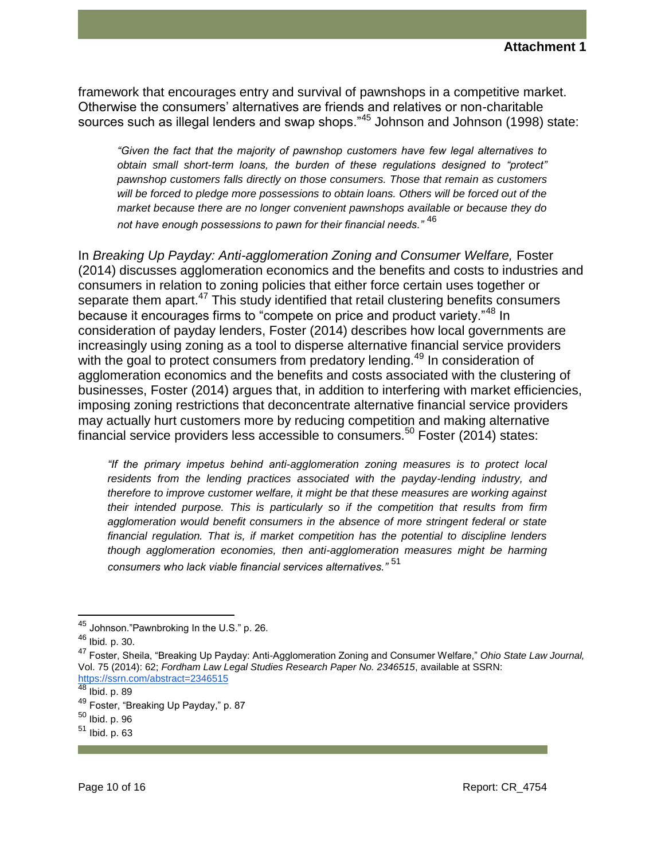framework that encourages entry and survival of pawnshops in a competitive market. Otherwise the consumers' alternatives are friends and relatives or non-charitable sources such as illegal lenders and swap shops."<sup>45</sup> Johnson and Johnson (1998) state:

*"Given the fact that the majority of pawnshop customers have few legal alternatives to obtain small short-term loans, the burden of these regulations designed to "protect" pawnshop customers falls directly on those consumers. Those that remain as customers will be forced to pledge more possessions to obtain loans. Others will be forced out of the market because there are no longer convenient pawnshops available or because they do not have enough possessions to pawn for their financial needs."* <sup>46</sup>

In *Breaking Up Payday: Anti-agglomeration Zoning and Consumer Welfare,* Foster (2014) discusses agglomeration economics and the benefits and costs to industries and consumers in relation to zoning policies that either force certain uses together or separate them apart.<sup>47</sup> This study identified that retail clustering benefits consumers because it encourages firms to "compete on price and product variety."<sup>48</sup> In consideration of payday lenders, Foster (2014) describes how local governments are increasingly using zoning as a tool to disperse alternative financial service providers with the goal to protect consumers from predatory lending.<sup>49</sup> In consideration of agglomeration economics and the benefits and costs associated with the clustering of businesses, Foster (2014) argues that, in addition to interfering with market efficiencies, imposing zoning restrictions that deconcentrate alternative financial service providers may actually hurt customers more by reducing competition and making alternative financial service providers less accessible to consumers.<sup>50</sup> Foster (2014) states:

*"If the primary impetus behind anti-agglomeration zoning measures is to protect local* residents from the lending practices associated with the payday-lending industry, and *therefore to improve customer welfare, it might be that these measures are working against their intended purpose. This is particularly so if the competition that results from firm agglomeration would benefit consumers in the absence of more stringent federal or state financial regulation. That is, if market competition has the potential to discipline lenders though agglomeration economies, then anti-agglomeration measures might be harming consumers who lack viable financial services alternatives."* <sup>51</sup>

 $^{45}$  Johnson."Pawnbroking In the U.S." p. 26.

<sup>46</sup> Ibid*.* p. 30.

<sup>47</sup> Foster, Sheila, "Breaking Up Payday: Anti-Agglomeration Zoning and Consumer Welfare," *Ohio State Law Journal,*  Vol. 75 (2014): 62; *Fordham Law Legal Studies Research Paper No. 2346515*, available at SSR[N:](https://ssrn.com/abstract=2346515) <https://ssrn.com/abstract=2346515>

<sup>48</sup> Ibid. p. 89

<sup>49</sup> Foster, "Breaking Up Payday," p. 87

<sup>50</sup> Ibid. p. 96

 $51$  Ibid. p. 63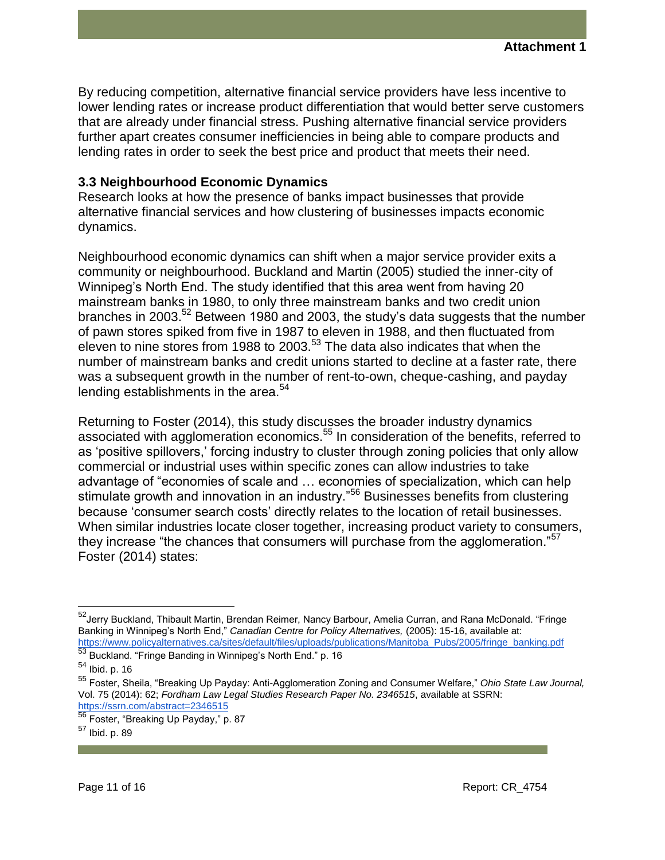By reducing competition, alternative financial service providers have less incentive to lower lending rates or increase product differentiation that would better serve customers that are already under financial stress. Pushing alternative financial service providers further apart creates consumer inefficiencies in being able to compare products and lending rates in order to seek the best price and product that meets their need.

#### **3.3 Neighbourhood Economic Dynamics**

Research looks at how the presence of banks impact businesses that provide alternative financial services and how clustering of businesses impacts economic dynamics.

Neighbourhood economic dynamics can shift when a major service provider exits a community or neighbourhood. Buckland and Martin (2005) studied the inner-city of Winnipeg's North End. The study identified that this area went from having 20 mainstream banks in 1980, to only three mainstream banks and two credit union branches in 2003.<sup>52</sup> Between 1980 and 2003, the study's data suggests that the number of pawn stores spiked from five in 1987 to eleven in 1988, and then fluctuated from eleven to nine stores from 1988 to 2003.<sup>53</sup> The data also indicates that when the number of mainstream banks and credit unions started to decline at a faster rate, there was a subsequent growth in the number of rent-to-own, cheque-cashing, and payday lending establishments in the area.<sup>54</sup>

Returning to Foster (2014), this study discusses the broader industry dynamics associated with agglomeration economics.<sup>55</sup> In consideration of the benefits, referred to as 'positive spillovers,' forcing industry to cluster through zoning policies that only allow commercial or industrial uses within specific zones can allow industries to take advantage of "economies of scale and … economies of specialization, which can help stimulate growth and innovation in an industry."<sup>56</sup> Businesses benefits from clustering because 'consumer search costs' directly relates to the location of retail businesses. When similar industries locate closer together, increasing product variety to consumers, they increase "the chances that consumers will purchase from the agglomeration."<sup>57</sup> Foster (2014) states:

<sup>52</sup> Jerry Buckland, Thibault Martin, Brendan Reimer, Nancy Barbour, Amelia Curran, and Rana McDonald. "Fringe Banking in Winnipeg's North End," *Canadian Centre for Policy Alternatives,* (2005): 15-16, available at: [https://www.policyalternatives.ca/sites/default/files/uploads/publications/Manitoba\\_Pubs/2005/fringe\\_banking.pdf](https://www.policyalternatives.ca/sites/default/files/uploads/publications/Manitoba_Pubs/2005/fringe_banking.pdf)

<sup>&</sup>lt;sup>53</sup> Buckland. "Fringe Banding in Winnipeg's North End." p. 16

<sup>54</sup> Ibid. p. 16

<sup>55</sup> Foster, Sheila, "Breaking Up Payday: Anti-Agglomeration Zoning and Consumer Welfare," *Ohio State Law Journal,*  Vol. 75 (2014): 62; *Fordham Law Legal Studies Research Paper No. 2346515*, available at SSR[N:](https://ssrn.com/abstract=2346515) <https://ssrn.com/abstract=2346515>

<sup>56</sup> Foster, "Breaking Up Payday," p. 87

<sup>57</sup> Ibid. p. 89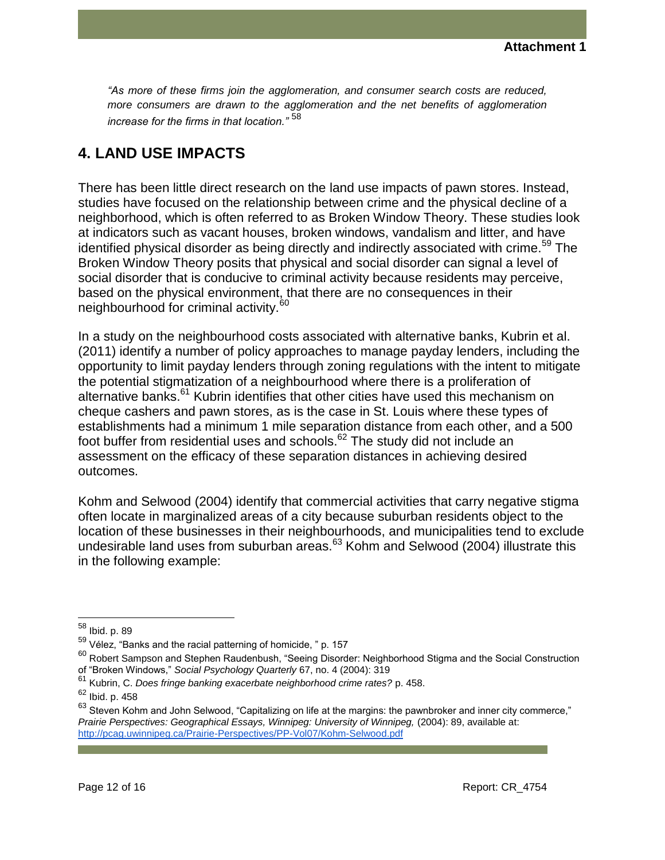*"As more of these firms join the agglomeration, and consumer search costs are reduced, more consumers are drawn to the agglomeration and the net benefits of agglomeration increase for the firms in that location."* <sup>58</sup>

# **4. LAND USE IMPACTS**

There has been little direct research on the land use impacts of pawn stores. Instead, studies have focused on the relationship between crime and the physical decline of a neighborhood, which is often referred to as Broken Window Theory. These studies look at indicators such as vacant houses, broken windows, vandalism and litter, and have identified physical disorder as being directly and indirectly associated with crime.<sup>59</sup> The Broken Window Theory posits that physical and social disorder can signal a level of social disorder that is conducive to criminal activity because residents may perceive, based on the physical environment, that there are no consequences in their neighbourhood for criminal activity.<sup>60</sup>

In a study on the neighbourhood costs associated with alternative banks, Kubrin et al. (2011) identify a number of policy approaches to manage payday lenders, including the opportunity to limit payday lenders through zoning regulations with the intent to mitigate the potential stigmatization of a neighbourhood where there is a proliferation of alternative banks.<sup>61</sup> Kubrin identifies that other cities have used this mechanism on cheque cashers and pawn stores, as is the case in St. Louis where these types of establishments had a minimum 1 mile separation distance from each other, and a 500 foot buffer from residential uses and schools.<sup>62</sup> The study did not include an assessment on the efficacy of these separation distances in achieving desired outcomes.

Kohm and Selwood (2004) identify that commercial activities that carry negative stigma often locate in marginalized areas of a city because suburban residents object to the location of these businesses in their neighbourhoods, and municipalities tend to exclude undesirable land uses from suburban areas. $^{63}$  Kohm and Selwood (2004) illustrate this in the following example:

<sup>&</sup>lt;sup>58</sup> Ibid. p. 89

 $59$  Vélez, "Banks and the racial patterning of homicide, " p. 157

<sup>&</sup>lt;sup>60</sup> Robert Sampson and Stephen Raudenbush, "Seeing Disorder: Neighborhood Stigma and the Social Construction of "Broken Windows," *Social Psychology Quarterly* 67, no. 4 (2004): 319

<sup>61</sup> Kubrin, C. *Does fringe banking exacerbate neighborhood crime rates?* p. 458.

<sup>62</sup> Ibid. p. 458

 $63$  Steven Kohm and John Selwood, "Capitalizing on life at the margins: the pawnbroker and inner city commerce," *Prairie Perspectives: Geographical Essays, Winnipeg: University of Winnipeg,* (2004): 89, available at: <http://pcag.uwinnipeg.ca/Prairie-Perspectives/PP-Vol07/Kohm-Selwood.pdf>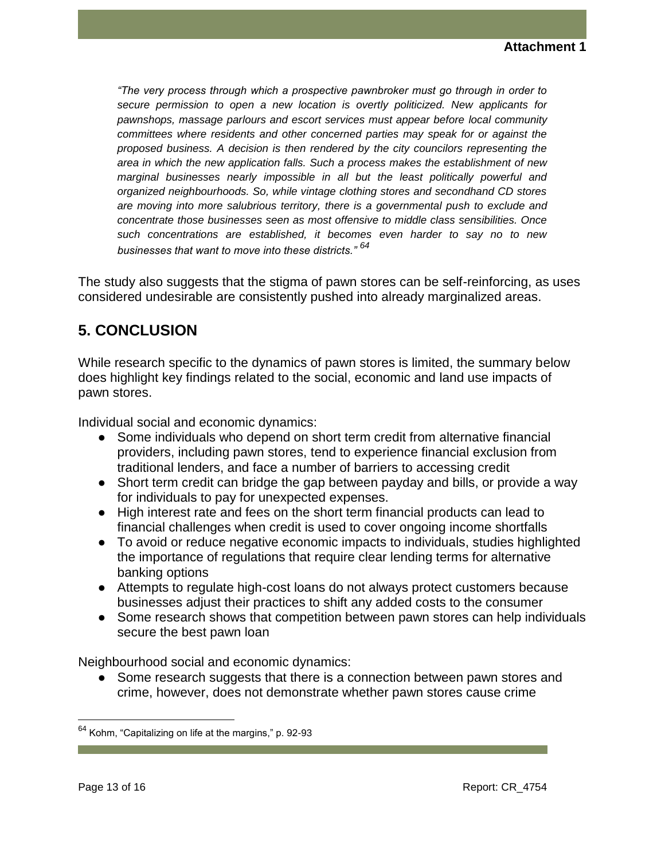*"The very process through which a prospective pawnbroker must go through in order to secure permission to open a new location is overtly politicized. New applicants for pawnshops, massage parlours and escort services must appear before local community committees where residents and other concerned parties may speak for or against the proposed business. A decision is then rendered by the city councilors representing the area in which the new application falls. Such a process makes the establishment of new marginal businesses nearly impossible in all but the least politically powerful and organized neighbourhoods. So, while vintage clothing stores and secondhand CD stores are moving into more salubrious territory, there is a governmental push to exclude and concentrate those businesses seen as most offensive to middle class sensibilities. Once such concentrations are established, it becomes even harder to say no to new businesses that want to move into these districts." <sup>64</sup>*

The study also suggests that the stigma of pawn stores can be self-reinforcing, as uses considered undesirable are consistently pushed into already marginalized areas.

# **5. CONCLUSION**

While research specific to the dynamics of pawn stores is limited, the summary below does highlight key findings related to the social, economic and land use impacts of pawn stores.

Individual social and economic dynamics:

- Some individuals who depend on short term credit from alternative financial providers, including pawn stores, tend to experience financial exclusion from traditional lenders, and face a number of barriers to accessing credit
- Short term credit can bridge the gap between payday and bills, or provide a way for individuals to pay for unexpected expenses.
- High interest rate and fees on the short term financial products can lead to financial challenges when credit is used to cover ongoing income shortfalls
- To avoid or reduce negative economic impacts to individuals, studies highlighted the importance of regulations that require clear lending terms for alternative banking options
- Attempts to regulate high-cost loans do not always protect customers because businesses adjust their practices to shift any added costs to the consumer
- Some research shows that competition between pawn stores can help individuals secure the best pawn loan

Neighbourhood social and economic dynamics:

• Some research suggests that there is a connection between pawn stores and crime, however, does not demonstrate whether pawn stores cause crime

<sup>64</sup> Kohm, "Capitalizing on life at the margins," p. 92-93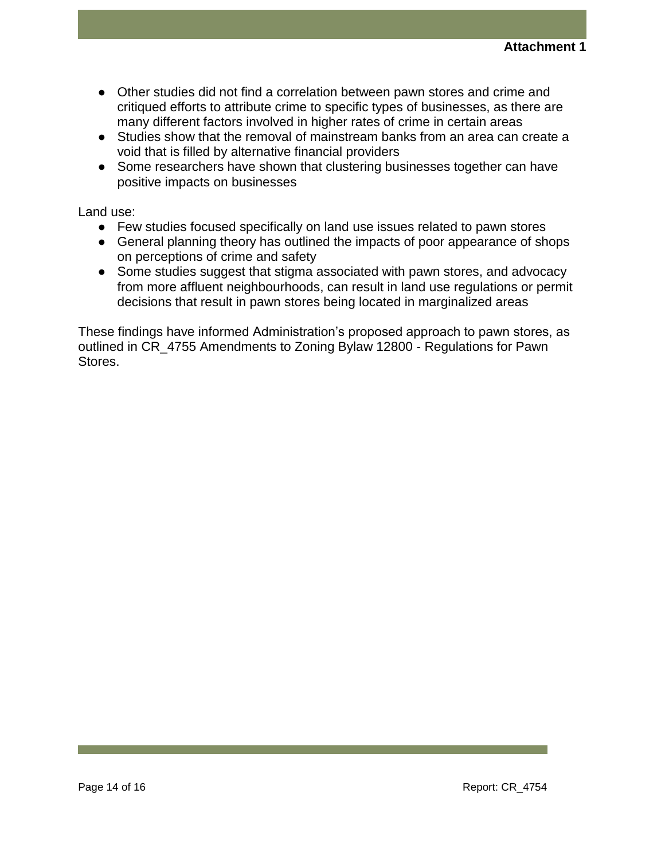- Other studies did not find a correlation between pawn stores and crime and critiqued efforts to attribute crime to specific types of businesses, as there are many different factors involved in higher rates of crime in certain areas
- Studies show that the removal of mainstream banks from an area can create a void that is filled by alternative financial providers
- Some researchers have shown that clustering businesses together can have positive impacts on businesses

Land use:

- Few studies focused specifically on land use issues related to pawn stores
- General planning theory has outlined the impacts of poor appearance of shops on perceptions of crime and safety
- Some studies suggest that stigma associated with pawn stores, and advocacy from more affluent neighbourhoods, can result in land use regulations or permit decisions that result in pawn stores being located in marginalized areas

These findings have informed Administration's proposed approach to pawn stores, as outlined in CR\_4755 Amendments to Zoning Bylaw 12800 - Regulations for Pawn Stores.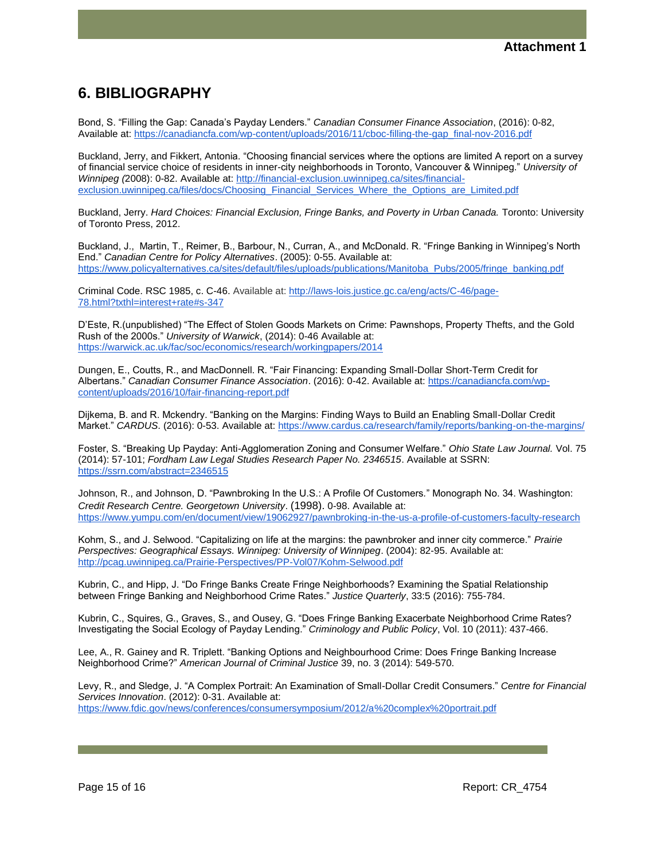### **6. BIBLIOGRAPHY**

Bond, S. "Filling the Gap: Canada's Payday Lenders." *Canadian Consumer Finance Association*, (2016): 0-82, Available at[: https://canadiancfa.com/wp-content/uploads/2016/11/cboc-filling-the-gap\\_final-nov-2016.pdf](https://canadiancfa.com/wp-content/uploads/2016/11/cboc-filling-the-gap_final-nov-2016.pdf)

Buckland, Jerry, and Fikkert, Antonia. "Choosing financial services where the options are limited A report on a survey of financial service choice of residents in inner-city neighborhoods in Toronto, Vancouver & Winnipeg." *University of Winnipeg* (2008): 0-82. Available at[: http://financial-exclusion.uwinnipeg.ca/sites/financial](http://financial-exclusion.uwinnipeg.ca/sites/financial-exclusion.uwinnipeg.ca/files/docs/Choosing_Financial_Services_Where_the_Options_are_Limited.pdf)[exclusion.uwinnipeg.ca/files/docs/Choosing\\_Financial\\_Services\\_Where\\_the\\_Options\\_are\\_Limited.pdf](http://financial-exclusion.uwinnipeg.ca/sites/financial-exclusion.uwinnipeg.ca/files/docs/Choosing_Financial_Services_Where_the_Options_are_Limited.pdf)

Buckland, Jerry. *Hard Choices: Financial Exclusion, Fringe Banks, and Poverty in Urban Canada.* Toronto: University of Toronto Press, 2012.

Buckland, J., Martin, T., Reimer, B., Barbour, N., Curran, A., and McDonald. R. "Fringe Banking in Winnipeg's North End." *Canadian Centre for Policy Alternatives*. (2005): 0-55. Available at: [https://www.policyalternatives.ca/sites/default/files/uploads/publications/Manitoba\\_Pubs/2005/fringe\\_banking.pdf](https://www.policyalternatives.ca/sites/default/files/uploads/publications/Manitoba_Pubs/2005/fringe_banking.pdf)

Criminal Code. RSC 1985, c. C-46. Available at: [http://laws-lois.justice.gc.ca/eng/acts/C-46/page-](http://laws-lois.justice.gc.ca/eng/acts/C-46/page-78.html?txthl=interest+rate#s-347)[78.html?txthl=interest+rate#s-347](http://laws-lois.justice.gc.ca/eng/acts/C-46/page-78.html?txthl=interest+rate#s-347)

D'Este, R.(unpublished) "The Effect of Stolen Goods Markets on Crime: Pawnshops, Property Thefts, and the Gold Rush of the 2000s." *University of Warwick*, (2014): 0-46 Available at: <https://warwick.ac.uk/fac/soc/economics/research/workingpapers/2014>

Dungen, E., Coutts, R., and MacDonnell. R. "Fair Financing: Expanding Small-Dollar Short-Term Credit for Albertans." *Canadian Consumer Finance Association*. (2016): 0-42. Available at: [https://canadiancfa.com/wp](https://canadiancfa.com/wp-content/uploads/2016/10/fair-financing-report.pdf)[content/uploads/2016/10/fair-financing-report.pdf](https://canadiancfa.com/wp-content/uploads/2016/10/fair-financing-report.pdf)

Dijkema, B. and R. Mckendry. "Banking on the Margins: Finding Ways to Build an Enabling Small-Dollar Credit Market." *CARDUS*. (2016): 0-53. Available at:<https://www.cardus.ca/research/family/reports/banking-on-the-margins/>

Foster, S. "Breaking Up Payday: Anti-Agglomeration Zoning and Consumer Welfare." *Ohio State Law Journal.* Vol. 75 (2014): 57-101; *Fordham Law Legal Studies Research Paper No. 2346515*. Available at SSRN[:](https://ssrn.com/abstract=2346515) <https://ssrn.com/abstract=2346515>

Johnson, R., and Johnson, D. "Pawnbroking In the U.S.: A Profile Of Customers*.*" Monograph No. 34. Washington: *Credit Research Centre. Georgetown University*. (1998). 0-98. Available at: <https://www.yumpu.com/en/document/view/19062927/pawnbroking-in-the-us-a-profile-of-customers-faculty-research>

Kohm, S., and J. Selwood. "Capitalizing on life at the margins: the pawnbroker and inner city commerce." *Prairie Perspectives: Geographical Essays. Winnipeg: University of Winnipeg*. (2004): 82-95. Available at: <http://pcag.uwinnipeg.ca/Prairie-Perspectives/PP-Vol07/Kohm-Selwood.pdf>

Kubrin, C., and Hipp, J. "Do Fringe Banks Create Fringe Neighborhoods? Examining the Spatial Relationship between Fringe Banking and Neighborhood Crime Rates." *Justice Quarterly*, 33:5 (2016): 755-784.

Kubrin, C., Squires, G., Graves, S., and Ousey, G. "Does Fringe Banking Exacerbate Neighborhood Crime Rates? Investigating the Social Ecology of Payday Lending." *Criminology and Public Policy*, Vol. 10 (2011): 437-466.

Lee, A., R. Gainey and R. Triplett. "Banking Options and Neighbourhood Crime: Does Fringe Banking Increase Neighborhood Crime?" *American Journal of Criminal Justice* 39, no. 3 (2014): 549-570.

Levy, R., and Sledge, J. "A Complex Portrait: An Examination of Small-Dollar Credit Consumers." *Centre for Financial Services Innovation*. (2012): 0-31. Available at: <https://www.fdic.gov/news/conferences/consumersymposium/2012/a%20complex%20portrait.pdf>